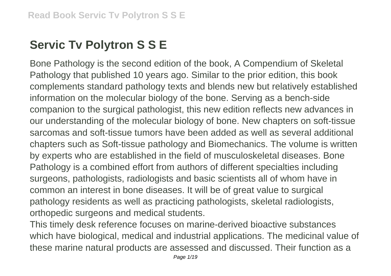## **Servic Tv Polytron S S E**

Bone Pathology is the second edition of the book, A Compendium of Skeletal Pathology that published 10 years ago. Similar to the prior edition, this book complements standard pathology texts and blends new but relatively established information on the molecular biology of the bone. Serving as a bench-side companion to the surgical pathologist, this new edition reflects new advances in our understanding of the molecular biology of bone. New chapters on soft-tissue sarcomas and soft-tissue tumors have been added as well as several additional chapters such as Soft-tissue pathology and Biomechanics. The volume is written by experts who are established in the field of musculoskeletal diseases. Bone Pathology is a combined effort from authors of different specialties including surgeons, pathologists, radiologists and basic scientists all of whom have in common an interest in bone diseases. It will be of great value to surgical pathology residents as well as practicing pathologists, skeletal radiologists, orthopedic surgeons and medical students.

This timely desk reference focuses on marine-derived bioactive substances which have biological, medical and industrial applications. The medicinal value of these marine natural products are assessed and discussed. Their function as a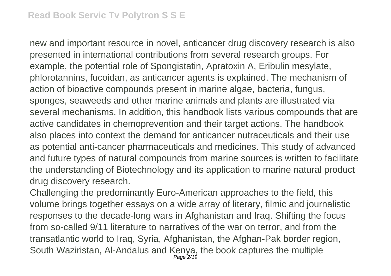new and important resource in novel, anticancer drug discovery research is also presented in international contributions from several research groups. For example, the potential role of Spongistatin, Apratoxin A, Eribulin mesylate, phlorotannins, fucoidan, as anticancer agents is explained. The mechanism of action of bioactive compounds present in marine algae, bacteria, fungus, sponges, seaweeds and other marine animals and plants are illustrated via several mechanisms. In addition, this handbook lists various compounds that are active candidates in chemoprevention and their target actions. The handbook also places into context the demand for anticancer nutraceuticals and their use as potential anti-cancer pharmaceuticals and medicines. This study of advanced and future types of natural compounds from marine sources is written to facilitate the understanding of Biotechnology and its application to marine natural product drug discovery research.

Challenging the predominantly Euro-American approaches to the field, this volume brings together essays on a wide array of literary, filmic and journalistic responses to the decade-long wars in Afghanistan and Iraq. Shifting the focus from so-called 9/11 literature to narratives of the war on terror, and from the transatlantic world to Iraq, Syria, Afghanistan, the Afghan-Pak border region, South Waziristan, Al-Andalus and Kenya, the book captures the multiple Page<sup>-</sup>2/19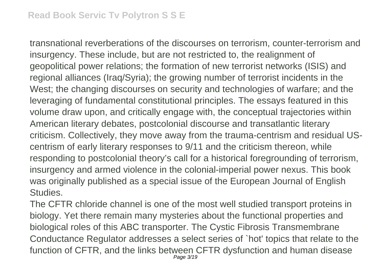transnational reverberations of the discourses on terrorism, counter-terrorism and insurgency. These include, but are not restricted to, the realignment of geopolitical power relations; the formation of new terrorist networks (ISIS) and regional alliances (Iraq/Syria); the growing number of terrorist incidents in the West; the changing discourses on security and technologies of warfare; and the leveraging of fundamental constitutional principles. The essays featured in this volume draw upon, and critically engage with, the conceptual trajectories within American literary debates, postcolonial discourse and transatlantic literary criticism. Collectively, they move away from the trauma-centrism and residual UScentrism of early literary responses to 9/11 and the criticism thereon, while responding to postcolonial theory's call for a historical foregrounding of terrorism, insurgency and armed violence in the colonial-imperial power nexus. This book was originally published as a special issue of the European Journal of English Studies.

The CFTR chloride channel is one of the most well studied transport proteins in biology. Yet there remain many mysteries about the functional properties and biological roles of this ABC transporter. The Cystic Fibrosis Transmembrane Conductance Regulator addresses a select series of `hot' topics that relate to the function of CFTR, and the links between CFTR dysfunction and human disease Page 3/19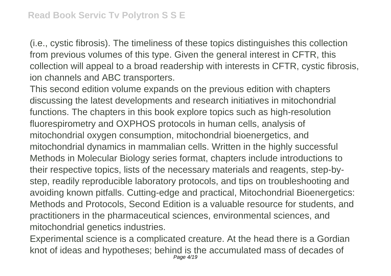(i.e., cystic fibrosis). The timeliness of these topics distinguishes this collection from previous volumes of this type. Given the general interest in CFTR, this collection will appeal to a broad readership with interests in CFTR, cystic fibrosis, ion channels and ABC transporters.

This second edition volume expands on the previous edition with chapters discussing the latest developments and research initiatives in mitochondrial functions. The chapters in this book explore topics such as high-resolution fluorespirometry and OXPHOS protocols in human cells, analysis of mitochondrial oxygen consumption, mitochondrial bioenergetics, and mitochondrial dynamics in mammalian cells. Written in the highly successful Methods in Molecular Biology series format, chapters include introductions to their respective topics, lists of the necessary materials and reagents, step-bystep, readily reproducible laboratory protocols, and tips on troubleshooting and avoiding known pitfalls. Cutting-edge and practical, Mitochondrial Bioenergetics: Methods and Protocols, Second Edition is a valuable resource for students, and practitioners in the pharmaceutical sciences, environmental sciences, and mitochondrial genetics industries.

Experimental science is a complicated creature. At the head there is a Gordian knot of ideas and hypotheses; behind is the accumulated mass of decades of Page 4/19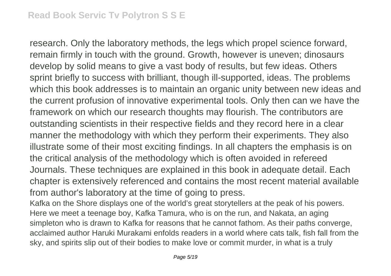research. Only the laboratory methods, the legs which propel science forward, remain firmly in touch with the ground. Growth, however is uneven; dinosaurs develop by solid means to give a vast body of results, but few ideas. Others sprint briefly to success with brilliant, though ill-supported, ideas. The problems which this book addresses is to maintain an organic unity between new ideas and the current profusion of innovative experimental tools. Only then can we have the framework on which our research thoughts may flourish. The contributors are outstanding scientists in their respective fields and they record here in a clear manner the methodology with which they perform their experiments. They also illustrate some of their most exciting findings. In all chapters the emphasis is on the critical analysis of the methodology which is often avoided in refereed Journals. These techniques are explained in this book in adequate detail. Each chapter is extensively referenced and contains the most recent material available from author's laboratory at the time of going to press.

Kafka on the Shore displays one of the world's great storytellers at the peak of his powers. Here we meet a teenage boy, Kafka Tamura, who is on the run, and Nakata, an aging simpleton who is drawn to Kafka for reasons that he cannot fathom. As their paths converge, acclaimed author Haruki Murakami enfolds readers in a world where cats talk, fish fall from the sky, and spirits slip out of their bodies to make love or commit murder, in what is a truly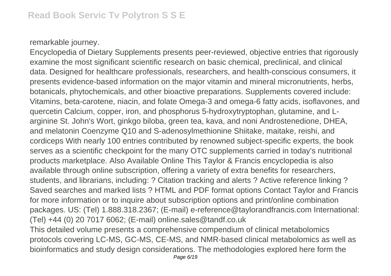## remarkable journey.

Encyclopedia of Dietary Supplements presents peer-reviewed, objective entries that rigorously examine the most significant scientific research on basic chemical, preclinical, and clinical data. Designed for healthcare professionals, researchers, and health-conscious consumers, it presents evidence-based information on the major vitamin and mineral micronutrients, herbs, botanicals, phytochemicals, and other bioactive preparations. Supplements covered include: Vitamins, beta-carotene, niacin, and folate Omega-3 and omega-6 fatty acids, isoflavones, and quercetin Calcium, copper, iron, and phosphorus 5-hydroxytryptophan, glutamine, and Larginine St. John's Wort, ginkgo biloba, green tea, kava, and noni Androstenedione, DHEA, and melatonin Coenzyme Q10 and S-adenosylmethionine Shiitake, maitake, reishi, and cordiceps With nearly 100 entries contributed by renowned subject-specific experts, the book serves as a scientific checkpoint for the many OTC supplements carried in today's nutritional products marketplace. Also Available Online This Taylor & Francis encyclopedia is also available through online subscription, offering a variety of extra benefits for researchers, students, and librarians, including: ? Citation tracking and alerts ? Active reference linking ? Saved searches and marked lists ? HTML and PDF format options Contact Taylor and Francis for more information or to inquire about subscription options and print/online combination packages. US: (Tel) 1.888.318.2367; (E-mail) e-reference@taylorandfrancis.com International: (Tel) +44 (0) 20 7017 6062; (E-mail) online.sales@tandf.co.uk This detailed volume presents a comprehensive compendium of clinical metabolomics protocols covering LC-MS, GC-MS, CE-MS, and NMR-based clinical metabolomics as well as bioinformatics and study design considerations. The methodologies explored here form the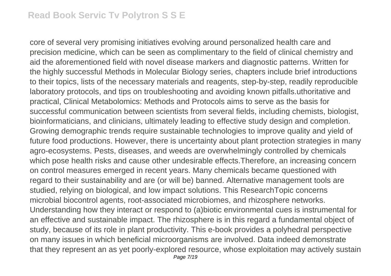core of several very promising initiatives evolving around personalized health care and precision medicine, which can be seen as complimentary to the field of clinical chemistry and aid the aforementioned field with novel disease markers and diagnostic patterns. Written for the highly successful Methods in Molecular Biology series, chapters include brief introductions to their topics, lists of the necessary materials and reagents, step-by-step, readily reproducible laboratory protocols, and tips on troubleshooting and avoiding known pitfalls.uthoritative and practical, Clinical Metabolomics: Methods and Protocols aims to serve as the basis for successful communication between scientists from several fields, including chemists, biologist, bioinformaticians, and clinicians, ultimately leading to effective study design and completion. Growing demographic trends require sustainable technologies to improve quality and yield of future food productions. However, there is uncertainty about plant protection strategies in many agro-ecosystems. Pests, diseases, and weeds are overwhelmingly controlled by chemicals which pose health risks and cause other undesirable effects.Therefore, an increasing concern on control measures emerged in recent years. Many chemicals became questioned with regard to their sustainability and are (or will be) banned. Alternative management tools are studied, relying on biological, and low impact solutions. This ResearchTopic concerns microbial biocontrol agents, root-associated microbiomes, and rhizosphere networks. Understanding how they interact or respond to (a)biotic environmental cues is instrumental for an effective and sustainable impact. The rhizosphere is in this regard a fundamental object of study, because of its role in plant productivity. This e-book provides a polyhedral perspective on many issues in which beneficial microorganisms are involved. Data indeed demonstrate that they represent an as yet poorly-explored resource, whose exploitation may actively sustain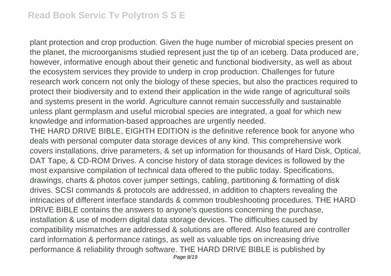plant protection and crop production. Given the huge number of microbial species present on the planet, the microorganisms studied represent just the tip of an iceberg. Data produced are, however, informative enough about their genetic and functional biodiversity, as well as about the ecosystem services they provide to underp in crop production. Challenges for future research work concern not only the biology of these species, but also the practices required to protect their biodiversity and to extend their application in the wide range of agricultural soils and systems present in the world. Agriculture cannot remain successfully and sustainable unless plant germplasm and useful microbial species are integrated, a goal for which new knowledge and information-based approaches are urgently needed.

THE HARD DRIVE BIBLE, EIGHTH EDITION is the definitive reference book for anyone who deals with personal computer data storage devices of any kind. This comprehensive work covers installations, drive parameters, & set up information for thousands of Hard Disk, Optical, DAT Tape, & CD-ROM Drives. A concise history of data storage devices is followed by the most expansive compilation of technical data offered to the public today. Specifications, drawings, charts & photos cover jumper settings, cabling, partitioning & formatting of disk drives. SCSI commands & protocols are addressed, in addition to chapters revealing the intricacies of different interface standards & common troubleshooting procedures. THE HARD DRIVE BIBLE contains the answers to anyone's questions concerning the purchase, installation & use of modern digital data storage devices. The difficulties caused by compatibility mismatches are addressed & solutions are offered. Also featured are controller card information & performance ratings, as well as valuable tips on increasing drive performance & reliability through software. THE HARD DRIVE BIBLE is published by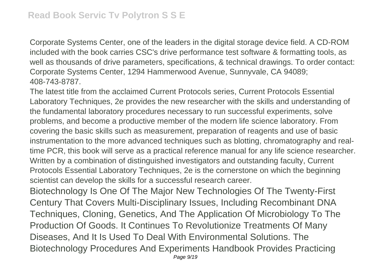Corporate Systems Center, one of the leaders in the digital storage device field. A CD-ROM included with the book carries CSC's drive performance test software & formatting tools, as well as thousands of drive parameters, specifications, & technical drawings. To order contact: Corporate Systems Center, 1294 Hammerwood Avenue, Sunnyvale, CA 94089; 408-743-8787.

The latest title from the acclaimed Current Protocols series, Current Protocols Essential Laboratory Techniques, 2e provides the new researcher with the skills and understanding of the fundamental laboratory procedures necessary to run successful experiments, solve problems, and become a productive member of the modern life science laboratory. From covering the basic skills such as measurement, preparation of reagents and use of basic instrumentation to the more advanced techniques such as blotting, chromatography and realtime PCR, this book will serve as a practical reference manual for any life science researcher. Written by a combination of distinguished investigators and outstanding faculty, Current Protocols Essential Laboratory Techniques, 2e is the cornerstone on which the beginning scientist can develop the skills for a successful research career.

Biotechnology Is One Of The Major New Technologies Of The Twenty-First Century That Covers Multi-Disciplinary Issues, Including Recombinant DNA Techniques, Cloning, Genetics, And The Application Of Microbiology To The Production Of Goods. It Continues To Revolutionize Treatments Of Many Diseases, And It Is Used To Deal With Environmental Solutions. The Biotechnology Procedures And Experiments Handbook Provides Practicing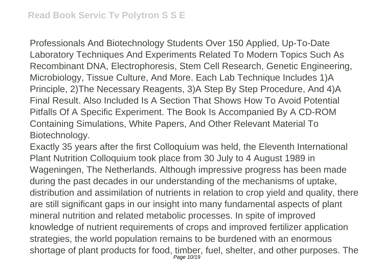Professionals And Biotechnology Students Over 150 Applied, Up-To-Date Laboratory Techniques And Experiments Related To Modern Topics Such As Recombinant DNA, Electrophoresis, Stem Cell Research, Genetic Engineering, Microbiology, Tissue Culture, And More. Each Lab Technique Includes 1)A Principle, 2)The Necessary Reagents, 3)A Step By Step Procedure, And 4)A Final Result. Also Included Is A Section That Shows How To Avoid Potential Pitfalls Of A Specific Experiment. The Book Is Accompanied By A CD-ROM Containing Simulations, White Papers, And Other Relevant Material To Biotechnology.

Exactly 35 years after the first Colloquium was held, the Eleventh International Plant Nutrition Colloquium took place from 30 July to 4 August 1989 in Wageningen, The Netherlands. Although impressive progress has been made during the past decades in our understanding of the mechanisms of uptake, distribution and assimilation of nutrients in relation to crop yield and quality, there are still significant gaps in our insight into many fundamental aspects of plant mineral nutrition and related metabolic processes. In spite of improved knowledge of nutrient requirements of crops and improved fertilizer application strategies, the world population remains to be burdened with an enormous shortage of plant products for food, timber, fuel, shelter, and other purposes. The Page 10/19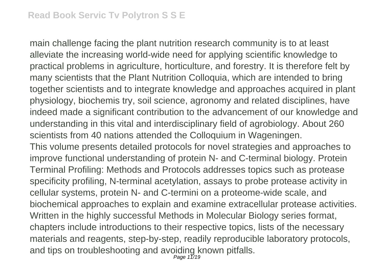main challenge facing the plant nutrition research community is to at least alleviate the increasing world-wide need for applying scientific knowledge to practical problems in agriculture, horticulture, and forestry. It is therefore felt by many scientists that the Plant Nutrition Colloquia, which are intended to bring together scientists and to integrate knowledge and approaches acquired in plant physiology, biochemis try, soil science, agronomy and related disciplines, have indeed made a significant contribution to the advancement of our knowledge and understanding in this vital and interdisciplinary field of agrobiology. About 260 scientists from 40 nations attended the Colloquium in Wageningen. This volume presents detailed protocols for novel strategies and approaches to improve functional understanding of protein N- and C-terminal biology. Protein Terminal Profiling: Methods and Protocols addresses topics such as protease specificity profiling, N-terminal acetylation, assays to probe protease activity in cellular systems, protein N- and C-termini on a proteome-wide scale, and biochemical approaches to explain and examine extracellular protease activities. Written in the highly successful Methods in Molecular Biology series format,

chapters include introductions to their respective topics, lists of the necessary materials and reagents, step-by-step, readily reproducible laboratory protocols, and tips on troubleshooting and avoiding known pitfalls.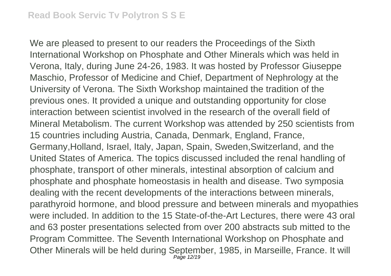We are pleased to present to our readers the Proceedings of the Sixth International Workshop on Phosphate and Other Minerals which was held in Verona, Italy, during June 24-26, 1983. It was hosted by Professor Giuseppe Maschio, Professor of Medicine and Chief, Department of Nephrology at the University of Verona. The Sixth Workshop maintained the tradition of the previous ones. It provided a unique and outstanding opportunity for close interaction between scientist involved in the research of the overall field of Mineral Metabolism. The current Workshop was attended by 250 scientists from 15 countries including Austria, Canada, Denmark, England, France, Germany,Holland, Israel, Italy, Japan, Spain, Sweden,Switzerland, and the United States of America. The topics discussed included the renal handling of phosphate, transport of other minerals, intestinal absorption of calcium and phosphate and phosphate homeostasis in health and disease. Two symposia dealing with the recent developments of the interactions between minerals, parathyroid hormone, and blood pressure and between minerals and myopathies were included. In addition to the 15 State-of-the-Art Lectures, there were 43 oral and 63 poster presentations selected from over 200 abstracts sub mitted to the Program Committee. The Seventh International Workshop on Phosphate and Other Minerals will be held during September, 1985, in Marseille, France. It will Page 12/19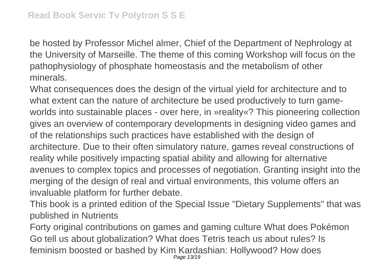be hosted by Professor Michel almer, Chief of the Department of Nephrology at the University of Marseille. The theme of this coming Workshop will focus on the pathophysiology of phosphate homeostasis and the metabolism of other minerals.

What consequences does the design of the virtual yield for architecture and to what extent can the nature of architecture be used productively to turn gameworlds into sustainable places - over here, in »reality«? This pioneering collection gives an overview of contemporary developments in designing video games and of the relationships such practices have established with the design of architecture. Due to their often simulatory nature, games reveal constructions of reality while positively impacting spatial ability and allowing for alternative avenues to complex topics and processes of negotiation. Granting insight into the merging of the design of real and virtual environments, this volume offers an invaluable platform for further debate.

This book is a printed edition of the Special Issue "Dietary Supplements" that was published in Nutrients

Forty original contributions on games and gaming culture What does Pokémon Go tell us about globalization? What does Tetris teach us about rules? Is feminism boosted or bashed by Kim Kardashian: Hollywood? How does Page 13/19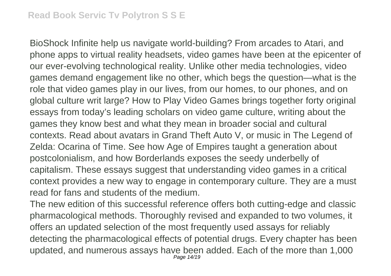BioShock Infinite help us navigate world-building? From arcades to Atari, and phone apps to virtual reality headsets, video games have been at the epicenter of our ever-evolving technological reality. Unlike other media technologies, video games demand engagement like no other, which begs the question—what is the role that video games play in our lives, from our homes, to our phones, and on global culture writ large? How to Play Video Games brings together forty original essays from today's leading scholars on video game culture, writing about the games they know best and what they mean in broader social and cultural contexts. Read about avatars in Grand Theft Auto V, or music in The Legend of Zelda: Ocarina of Time. See how Age of Empires taught a generation about postcolonialism, and how Borderlands exposes the seedy underbelly of capitalism. These essays suggest that understanding video games in a critical context provides a new way to engage in contemporary culture. They are a must read for fans and students of the medium.

The new edition of this successful reference offers both cutting-edge and classic pharmacological methods. Thoroughly revised and expanded to two volumes, it offers an updated selection of the most frequently used assays for reliably detecting the pharmacological effects of potential drugs. Every chapter has been updated, and numerous assays have been added. Each of the more than 1,000 Page 14/19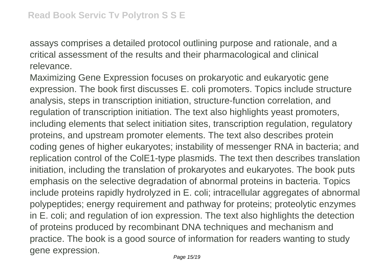assays comprises a detailed protocol outlining purpose and rationale, and a critical assessment of the results and their pharmacological and clinical relevance.

Maximizing Gene Expression focuses on prokaryotic and eukaryotic gene expression. The book first discusses E. coli promoters. Topics include structure analysis, steps in transcription initiation, structure-function correlation, and regulation of transcription initiation. The text also highlights yeast promoters, including elements that select initiation sites, transcription regulation, regulatory proteins, and upstream promoter elements. The text also describes protein coding genes of higher eukaryotes; instability of messenger RNA in bacteria; and replication control of the ColE1-type plasmids. The text then describes translation initiation, including the translation of prokaryotes and eukaryotes. The book puts emphasis on the selective degradation of abnormal proteins in bacteria. Topics include proteins rapidly hydrolyzed in E. coli; intracellular aggregates of abnormal polypeptides; energy requirement and pathway for proteins; proteolytic enzymes in E. coli; and regulation of ion expression. The text also highlights the detection of proteins produced by recombinant DNA techniques and mechanism and practice. The book is a good source of information for readers wanting to study gene expression.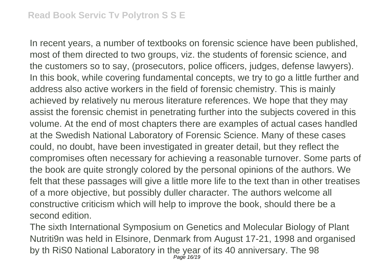In recent years, a number of textbooks on forensic science have been published, most of them directed to two groups, viz. the students of forensic science, and the customers so to say, (prosecutors, police officers, judges, defense lawyers). In this book, while covering fundamental concepts, we try to go a little further and address also active workers in the field of forensic chemistry. This is mainly achieved by relatively nu merous literature references. We hope that they may assist the forensic chemist in penetrating further into the subjects covered in this volume. At the end of most chapters there are examples of actual cases handled at the Swedish National Laboratory of Forensic Science. Many of these cases could, no doubt, have been investigated in greater detail, but they reflect the compromises often necessary for achieving a reasonable turnover. Some parts of the book are quite strongly colored by the personal opinions of the authors. We felt that these passages will give a little more life to the text than in other treatises of a more objective, but possibly duller character. The authors welcome all constructive criticism which will help to improve the book, should there be a second edition.

The sixth International Symposium on Genetics and Molecular Biology of Plant Nutriti9n was held in Elsinore, Denmark from August 17-21, 1998 and organised by th RiS0 National Laboratory in the year of its 40 anniversary. The 98 Page 16/19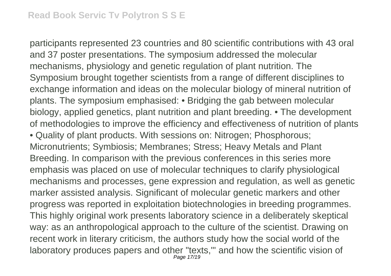participants represented 23 countries and 80 scientific contributions with 43 oral and 37 poster presentations. The symposium addressed the molecular mechanisms, physiology and genetic regulation of plant nutrition. The Symposium brought together scientists from a range of different disciplines to exchange information and ideas on the molecular biology of mineral nutrition of plants. The symposium emphasised: • Bridging the gab between molecular biology, applied genetics, plant nutrition and plant breeding. • The development of methodologies to improve the efficiency and effectiveness of nutrition of plants • Quality of plant products. With sessions on: Nitrogen; Phosphorous; Micronutrients; Symbiosis; Membranes; Stress; Heavy Metals and Plant Breeding. In comparison with the previous conferences in this series more emphasis was placed on use of molecular techniques to clarify physiological mechanisms and processes, gene expression and regulation, as well as genetic marker assisted analysis. Significant of molecular genetic markers and other progress was reported in exploitation biotechnologies in breeding programmes. This highly original work presents laboratory science in a deliberately skeptical way: as an anthropological approach to the culture of the scientist. Drawing on recent work in literary criticism, the authors study how the social world of the laboratory produces papers and other "texts,"' and how the scientific vision of Page 17/19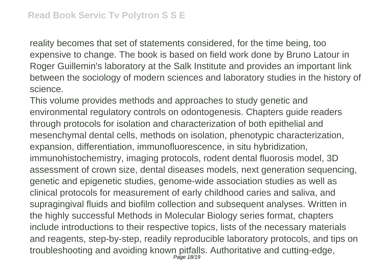reality becomes that set of statements considered, for the time being, too expensive to change. The book is based on field work done by Bruno Latour in Roger Guillemin's laboratory at the Salk Institute and provides an important link between the sociology of modern sciences and laboratory studies in the history of science.

This volume provides methods and approaches to study genetic and environmental regulatory controls on odontogenesis. Chapters guide readers through protocols for isolation and characterization of both epithelial and mesenchymal dental cells, methods on isolation, phenotypic characterization, expansion, differentiation, immunofluorescence, in situ hybridization, immunohistochemistry, imaging protocols, rodent dental fluorosis model, 3D assessment of crown size, dental diseases models, next generation sequencing, genetic and epigenetic studies, genome-wide association studies as well as clinical protocols for measurement of early childhood caries and saliva, and supragingival fluids and biofilm collection and subsequent analyses. Written in the highly successful Methods in Molecular Biology series format, chapters include introductions to their respective topics, lists of the necessary materials and reagents, step-by-step, readily reproducible laboratory protocols, and tips on troubleshooting and avoiding known pitfalls. Authoritative and cutting-edge, Page 18/19